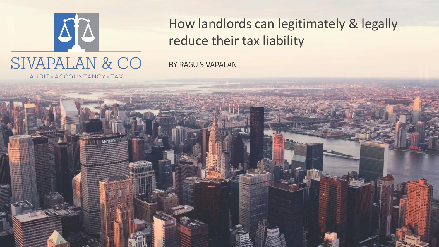

How landlords can legitimately & legally reduce their tax liability

BY RAGU SIVAPALAN

AUDIT ACCOUNTANCY TAX

MetLife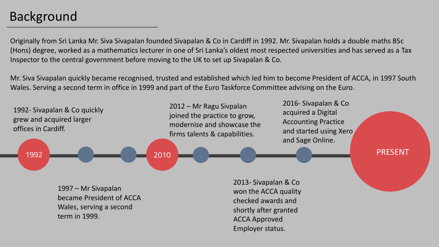## Background

Originally from Sri Lanka Mr. Siva Sivapalan founded Sivapalan & Co in Cardiff in 1992. Mr. Sivapalan holds a double maths BSc (Hons) degree, worked as a mathematics lecturer in one of Sri Lanka's oldest most respected universities and has served as a Tax Inspector to the central government before moving to the UK to set up Sivapalan & Co.

Mr. Siva Sivapalan quickly became recognised, trusted and established which led him to become President of ACCA, in 1997 South Wales. Serving a second term in office in 1999 and part of the Euro Taskforce Committee advising on the Euro.

2012 – Mr Ragu Sivpalan 1992- Sivapalan & Co quickly joined the practice to grow, grew and acquired larger modernise and showcase the offices in Cardiff. firms talents & capabilities. 1992 2010

2016- Sivapalan & Co acquired a Digital Accounting Practice and started using Xero and Sage Online.

PRESENT

1997 – Mr Sivapalan became President of ACCA Wales, serving a second term in 1999.

2013- Sivapalan & Co won the ACCA quality checked awards and shortly after granted ACCA Approved Employer status.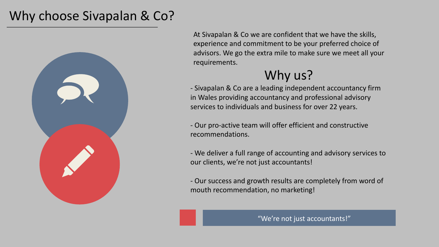#### Why choose Sivapalan & Co?



At Sivapalan & Co we are confident that we have the skills, experience and commitment to be your preferred choice of advisors. We go the extra mile to make sure we meet all your requirements.

## Why us?

- Sivapalan & Co are a leading independent accountancy firm in Wales providing accountancy and professional advisory services to individuals and business for over 22 years.

- Our pro-active team will offer efficient and constructive recommendations.

- We deliver a full range of accounting and advisory services to our clients, we're not just accountants!

- Our success and growth results are completely from word of mouth recommendation, no marketing!

"We're not just accountants!"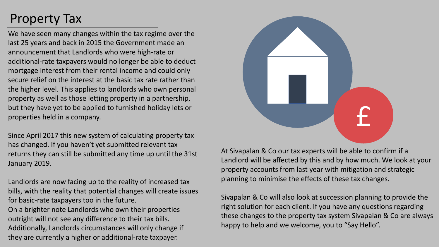# Property Tax

We have seen many changes within the tax regime over the last 25 years and back in 2015 the Government made an announcement that Landlords who were high-rate or additional-rate taxpayers would no longer be able to deduct mortgage interest from their rental income and could only secure relief on the interest at the basic tax rate rather than the higher level. This applies to landlords who own personal property as well as those letting property in a partnership, but they have yet to be applied to furnished holiday lets or properties held in a company.

Since April 2017 this new system of calculating property tax has changed. If you haven't yet submitted relevant tax returns they can still be submitted any time up until the 31st January 2019.

Landlords are now facing up to the reality of increased tax bills, with the reality that potential changes will create issues for basic-rate taxpayers too in the future. On a brighter note Landlords who own their properties outright will not see any difference to their tax bills. Additionally, Landlords circumstances will only change if they are currently a higher or additional-rate taxpayer.



At Sivapalan & Co our tax experts will be able to confirm if a Landlord will be affected by this and by how much. We look at your property accounts from last year with mitigation and strategic planning to minimise the effects of these tax changes.

Sivapalan & Co will also look at succession planning to provide the right solution for each client. If you have any questions regarding these changes to the property tax system Sivapalan & Co are always happy to help and we welcome, you to "Say Hello".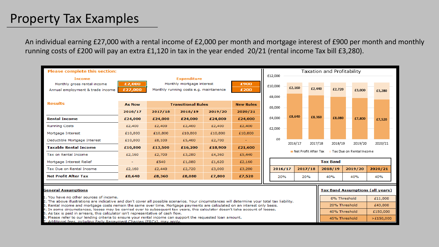#### Property Tax Examples

An individual earning £27,000 with a rental income of £2,000 per month and mortgage interest of £900 per month and monthly running costs of £200 will pay an extra £1,120 in tax in the year ended 20/21 (rental income Tax bill £3,280).

| <b>Please complete this section:</b>                                                                                                                                                                                                                                        |               |                                        |         |              |                  |                   |                                                                 | Taxation and Profitability |         |                                         |               |               |         |          |  |
|-----------------------------------------------------------------------------------------------------------------------------------------------------------------------------------------------------------------------------------------------------------------------------|---------------|----------------------------------------|---------|--------------|------------------|-------------------|-----------------------------------------------------------------|----------------------------|---------|-----------------------------------------|---------------|---------------|---------|----------|--|
| <b>Expenditure</b><br><b>Income</b>                                                                                                                                                                                                                                         |               |                                        |         |              |                  |                   | £12,000                                                         |                            |         |                                         |               |               |         |          |  |
| Monthly gross rental income                                                                                                                                                                                                                                                 | £2,000        | Monthly mortgage interest              |         | £900         |                  | £10,000<br>£2,160 |                                                                 |                            |         |                                         |               |               |         |          |  |
| Annual employment & trade income                                                                                                                                                                                                                                            | £27,000       | Monthly running costs e.g. maintanence |         | £200         |                  |                   |                                                                 | £2,440                     |         | £2,720                                  | £3,000        | £3,280        |         |          |  |
|                                                                                                                                                                                                                                                                             |               |                                        |         |              |                  |                   | £8,000                                                          |                            |         |                                         |               |               |         |          |  |
| <b>Results</b>                                                                                                                                                                                                                                                              | <b>As Now</b> | <b>Transitional Rules</b>              |         |              | <b>New Rules</b> |                   | £6,000                                                          |                            |         |                                         |               |               |         |          |  |
|                                                                                                                                                                                                                                                                             | 2016/17       | 2017/18                                | 2018/19 | 2019/20      | 2020/21          |                   |                                                                 |                            | £8,360  |                                         |               |               |         |          |  |
| <b>Rental Income</b>                                                                                                                                                                                                                                                        | £24,000       | £24,000                                | £24,000 | £24,000      | £24,000          | £4,000            |                                                                 | £8,640                     |         |                                         | £8,080        | £7,800        | £7.520  |          |  |
| <b>Running Costs</b>                                                                                                                                                                                                                                                        | £2,400        | £2,400                                 | £2,400  | £2,400       | £2,400           | £2,000            |                                                                 |                            |         |                                         |               |               |         |          |  |
| Mortgage Interest                                                                                                                                                                                                                                                           | £10,800       | £10,800                                | £10,800 | £10,800      | £10,800          |                   |                                                                 |                            |         |                                         |               |               |         |          |  |
| Deductible Mortgage Interest                                                                                                                                                                                                                                                | £10,800       | £8,100                                 | £5,400  | £2,700       |                  |                   | £0                                                              | 2016/17                    | 2017/18 |                                         | 2018/19       | 2019/20       | 2020/21 |          |  |
| <b>Taxable Rental Income</b>                                                                                                                                                                                                                                                | £10,800       | £13,500                                | £16,200 | £18,900      | £21,600          |                   |                                                                 |                            |         |                                         |               |               |         |          |  |
| Tax on Rental Income                                                                                                                                                                                                                                                        | £2,160        | £2,700                                 | £3,280  | £4,360       | £5,440           |                   | $\blacksquare$ Net Profit After Tax<br>Tax Due on Rental Income |                            |         |                                         |               |               |         |          |  |
| Mortgage Interest Relief                                                                                                                                                                                                                                                    | ۰             | £540                                   | £1,080  | £1,620       | £2,160           |                   |                                                                 | <b>Tax Band</b>            |         |                                         |               |               |         |          |  |
| Tax Due on Rental Income                                                                                                                                                                                                                                                    | £2,160        | £2,440                                 | £2,720  | £3,000       | £3,280           |                   | 2016/17                                                         | 2017/18                    | 2018/19 |                                         |               | 2019/20       | 2020/21 |          |  |
| <b>Net Profit After Tax</b>                                                                                                                                                                                                                                                 | £8,640        | £8,360                                 | £8,080  | £7,800       | £7,520           |                   | 20%                                                             | 20%                        |         | 40%                                     |               | 40%           | 40%     |          |  |
| <b>General Assumptions</b>                                                                                                                                                                                                                                                  |               |                                        |         |              |                  |                   |                                                                 |                            |         | <b>Tax Band Assumptions (all years)</b> |               |               |         |          |  |
| 1. You have no other sources of income.                                                                                                                                                                                                                                     |               |                                        |         | 0% Threshold |                  |                   | £11,000                                                         |                            |         |                                         |               |               |         |          |  |
| 2. The above illustrations are indicative and don't cover all possible scenarios. Your circumstances will determine your total tax liability.<br>3. Rental income and mortgage costs remain the same over time. Mortgage payments are calculated on an interest only basis. |               |                                        |         |              |                  |                   |                                                                 |                            |         |                                         |               | 20% Threshold |         |          |  |
| 4. In some circumstances, losses may be carried over to subsequent tax years, this calculator doesn't take account of losses.<br>5. As tax is paid in arrears, this calculator isn't representative of cash flow.                                                           |               |                                        |         |              |                  |                   |                                                                 |                            |         |                                         | 40% Threshold |               |         | £150,000 |  |
| 6. Please refer to our lending criteria to ensure your rental income can support the requested loan amount.<br>7. Additional fees, including Early Repayment Charges (ERCs), may apply.                                                                                     |               |                                        |         |              |                  |                   |                                                                 | 45% Threshold<br>>£150,000 |         |                                         |               |               |         |          |  |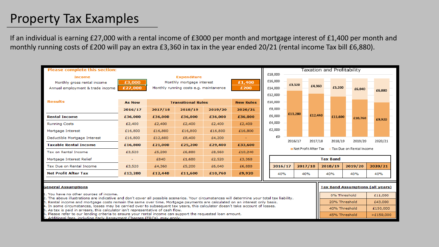## Property Tax Examples

If an individual is earning £27,000 with a rental income of £3000 per month and mortgage interest of £1,400 per month and monthly running costs of £200 will pay an extra £3,360 in tax in the year ended 20/21 (rental income Tax bill £6,880).

| <b>Please complete this section:</b>                                                                                                                                                     |                    |                                               |         |         |         |  |                                                  |                 |         |                                         | Taxation and Profitability |         |         |  |  |  |  |
|------------------------------------------------------------------------------------------------------------------------------------------------------------------------------------------|--------------------|-----------------------------------------------|---------|---------|---------|--|--------------------------------------------------|-----------------|---------|-----------------------------------------|----------------------------|---------|---------|--|--|--|--|
| <b>Income</b>                                                                                                                                                                            | <b>Expenditure</b> |                                               |         |         |         |  | £18,000                                          |                 |         |                                         |                            |         |         |  |  |  |  |
| Monthly gross rental income                                                                                                                                                              | £3,000             | Monthly mortgage interest                     |         |         | £1,400  |  | £16,000                                          | £3,520          |         |                                         |                            |         |         |  |  |  |  |
| Annual employment & trade income                                                                                                                                                         | £27,000            | Monthly running costs e.g. maintanence        |         |         | £200    |  | £14,000                                          |                 | £4,360  |                                         | £5,200                     | £6,040  | £6,880  |  |  |  |  |
|                                                                                                                                                                                          |                    |                                               |         |         |         |  |                                                  |                 |         |                                         |                            |         |         |  |  |  |  |
| <b>Results</b>                                                                                                                                                                           | <b>As Now</b>      | <b>Transitional Rules</b><br><b>New Rules</b> |         |         |         |  | £10,000                                          |                 |         |                                         |                            |         |         |  |  |  |  |
|                                                                                                                                                                                          | 2016/17            | 2017/18                                       | 2018/19 | 2019/20 | 2020/21 |  | £8,000                                           |                 |         |                                         |                            |         |         |  |  |  |  |
| <b>Rental Income</b>                                                                                                                                                                     | £36,000            | £36,000                                       | £36,000 | £36,000 | £36,000 |  | £6,000                                           | £13,280         | £12,440 |                                         | £11.600                    | £10,760 | £9,920  |  |  |  |  |
| <b>Running Costs</b>                                                                                                                                                                     | £2,400             | £2,400                                        | £2,400  | £2,400  | £2,400  |  | £4,000                                           |                 |         |                                         |                            |         |         |  |  |  |  |
| Mortgage Interest                                                                                                                                                                        | £16,800            | £16,800                                       | £16,800 | £16,800 | £16,800 |  | £2,000                                           |                 |         |                                         |                            |         |         |  |  |  |  |
| Deductible Mortgage Interest                                                                                                                                                             | £16,800            | £12,600                                       | £8,400  | £4,200  |         |  | £0                                               | 2016/17         | 2017/18 |                                         | 2018/19                    | 2019/20 | 2020/21 |  |  |  |  |
| <b>Taxable Rental Income</b>                                                                                                                                                             | £16,800            | £21,000                                       | £25,200 | £29,400 | £33,600 |  |                                                  |                 |         |                                         |                            |         |         |  |  |  |  |
| Tax on Rental Income                                                                                                                                                                     | £3,520             | £5,200                                        | £6,880  | £8,560  | £10,240 |  | Net Profit After Tax<br>Tax Due on Rental Income |                 |         |                                         |                            |         |         |  |  |  |  |
| Mortgage Interest Relief                                                                                                                                                                 |                    | £840                                          | £1,680  | £2,520  | £3,360  |  |                                                  | <b>Tax Band</b> |         |                                         |                            |         |         |  |  |  |  |
| Tax Due on Rental Income                                                                                                                                                                 | £3,520             | £4,360                                        | £5,200  | £6,040  | £6,880  |  | 2016/17                                          |                 | 2017/18 |                                         | 2018/19                    | 2019/20 | 2020/21 |  |  |  |  |
| <b>Net Profit After Tax</b>                                                                                                                                                              | £13,280            | £12,440                                       | £11,600 | £10,760 | £9,920  |  | 40%                                              | 40%             |         | 40%                                     |                            | 40%     | 40%     |  |  |  |  |
|                                                                                                                                                                                          |                    |                                               |         |         |         |  |                                                  |                 |         |                                         |                            |         |         |  |  |  |  |
| <b>General Assumptions</b>                                                                                                                                                               |                    |                                               |         |         |         |  |                                                  |                 |         | <b>Tax Band Assumptions (all years)</b> |                            |         |         |  |  |  |  |
| 1. You have no other sources of income.<br>2. The above illustrations are indicative and don't cover all possible scenarios. Your circumstances will determine your total tax liability. |                    |                                               |         |         |         |  |                                                  |                 |         | 0% Threshold                            |                            |         | £11,000 |  |  |  |  |
| B. Rental income and mortgage costs remain the same over time. Mortgage payments are calculated on an interest only basis.                                                               |                    |                                               |         |         |         |  |                                                  |                 |         | 20% Threshold                           |                            |         | £43,000 |  |  |  |  |

40% Threshold

45% Threshold

£150,000

 $>£150,000$ 

- In some circumstances, losses may be carried over to subsequent tax years, this calculator doesn't take account of losses.
- As tax is paid in arrears, this calculator isn't representative of cash flow.
- Please refer to our lending criteria to ensure your rental income can support the requested loan amount.
- lditional fees, including Early Repayment Charges (ERCs), may apply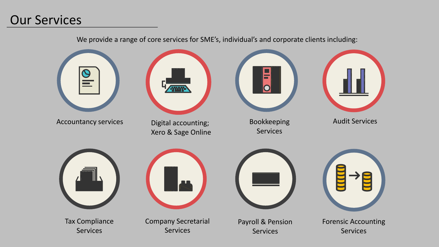#### Our Services

We provide a range of core services for SME's, individual's and corporate clients including: